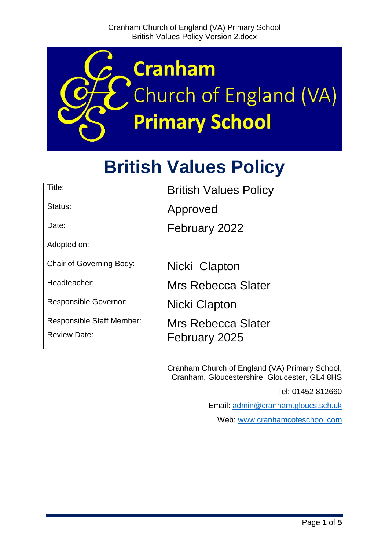

# **British Values Policy**

| Title:                           | <b>British Values Policy</b> |
|----------------------------------|------------------------------|
| Status:                          | Approved                     |
| Date:                            | February 2022                |
| Adopted on:                      |                              |
| Chair of Governing Body:         | Nicki Clapton                |
| Headteacher:                     | <b>Mrs Rebecca Slater</b>    |
| <b>Responsible Governor:</b>     | Nicki Clapton                |
| <b>Responsible Staff Member:</b> | Mrs Rebecca Slater           |
| <b>Review Date:</b>              | February 2025                |

Cranham Church of England (VA) Primary School, Cranham, Gloucestershire, Gloucester, GL4 8HS

Tel: 01452 812660

Email: [admin@cranham.gloucs.sch.uk](mailto:admin@cranham.gloucs.sch.uk)

Web: [www.cranhamcofeschool.com](http://www.cranhamcofeschool.com/)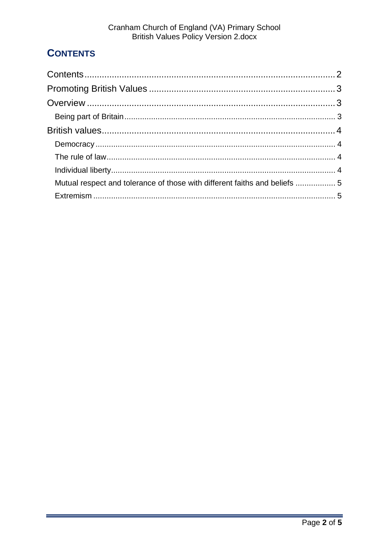# <span id="page-1-0"></span>**CONTENTS**

| Mutual respect and tolerance of those with different faiths and beliefs  5 |  |
|----------------------------------------------------------------------------|--|
|                                                                            |  |
|                                                                            |  |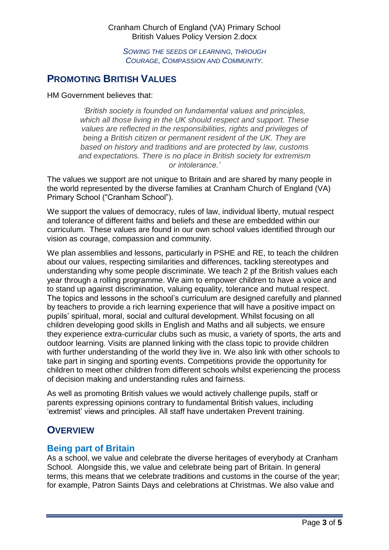Cranham Church of England (VA) Primary School British Values Policy Version 2.docx

*SOWING THE SEEDS OF LEARNING, THROUGH COURAGE, COMPASSION AND COMMUNITY.*

## <span id="page-2-0"></span>**PROMOTING BRITISH VALUES**

HM Government believes that:

*'British society is founded on fundamental values and principles, which all those living in the UK should respect and support. These values are reflected in the responsibilities, rights and privileges of being a British citizen or permanent resident of the UK. They are based on history and traditions and are protected by law, customs and expectations. There is no place in British society for extremism or intolerance.'*

The values we support are not unique to Britain and are shared by many people in the world represented by the diverse families at Cranham Church of England (VA) Primary School ("Cranham School").

We support the values of democracy, rules of law, individual liberty, mutual respect and tolerance of different faiths and beliefs and these are embedded within our curriculum. These values are found in our own school values identified through our vision as courage, compassion and community.

We plan assemblies and lessons, particularly in PSHE and RE, to teach the children about our values, respecting similarities and differences, tackling stereotypes and understanding why some people discriminate. We teach 2 pf the British values each year through a rolling programme. We aim to empower children to have a voice and to stand up against discrimination, valuing equality, tolerance and mutual respect. The topics and lessons in the school's curriculum are designed carefully and planned by teachers to provide a rich learning experience that will have a positive impact on pupils' spiritual, moral, social and cultural development. Whilst focusing on all children developing good skills in English and Maths and all subjects, we ensure they experience extra-curricular clubs such as music, a variety of sports, the arts and outdoor learning. Visits are planned linking with the class topic to provide children with further understanding of the world they live in. We also link with other schools to take part in singing and sporting events. Competitions provide the opportunity for children to meet other children from different schools whilst experiencing the process of decision making and understanding rules and fairness.

As well as promoting British values we would actively challenge pupils, staff or parents expressing opinions contrary to fundamental British values, including 'extremist' views and principles. All staff have undertaken Prevent training.

#### <span id="page-2-1"></span>**OVERVIEW**

#### <span id="page-2-2"></span>**Being part of Britain**

As a school, we value and celebrate the diverse heritages of everybody at Cranham School. Alongside this, we value and celebrate being part of Britain. In general terms, this means that we celebrate traditions and customs in the course of the year; for example, Patron Saints Days and celebrations at Christmas. We also value and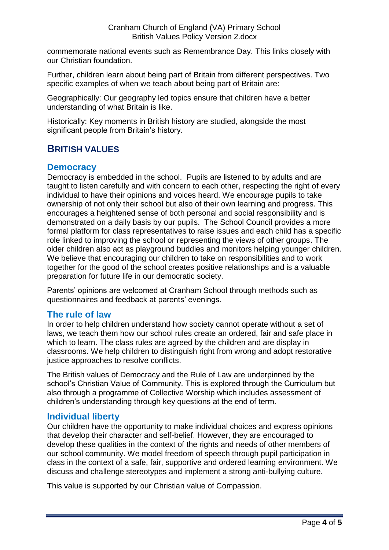commemorate national events such as Remembrance Day. This links closely with our Christian foundation.

Further, children learn about being part of Britain from different perspectives. Two specific examples of when we teach about being part of Britain are:

Geographically: Our geography led topics ensure that children have a better understanding of what Britain is like.

Historically: Key moments in British history are studied, alongside the most significant people from Britain's history.

# <span id="page-3-0"></span>**BRITISH VALUES**

#### <span id="page-3-1"></span>**Democracy**

Democracy is embedded in the school. Pupils are listened to by adults and are taught to listen carefully and with concern to each other, respecting the right of every individual to have their opinions and voices heard. We encourage pupils to take ownership of not only their school but also of their own learning and progress. This encourages a heightened sense of both personal and social responsibility and is demonstrated on a daily basis by our pupils. The School Council provides a more formal platform for class representatives to raise issues and each child has a specific role linked to improving the school or representing the views of other groups. The older children also act as playground buddies and monitors helping younger children. We believe that encouraging our children to take on responsibilities and to work together for the good of the school creates positive relationships and is a valuable preparation for future life in our democratic society.

Parents' opinions are welcomed at Cranham School through methods such as questionnaires and feedback at parents' evenings.

#### <span id="page-3-2"></span>**The rule of law**

In order to help children understand how society cannot operate without a set of laws, we teach them how our school rules create an ordered, fair and safe place in which to learn. The class rules are agreed by the children and are display in classrooms. We help children to distinguish right from wrong and adopt restorative justice approaches to resolve conflicts.

The British values of Democracy and the Rule of Law are underpinned by the school's Christian Value of Community. This is explored through the Curriculum but also through a programme of Collective Worship which includes assessment of children's understanding through key questions at the end of term.

#### <span id="page-3-3"></span>**Individual liberty**

Our children have the opportunity to make individual choices and express opinions that develop their character and self-belief. However, they are encouraged to develop these qualities in the context of the rights and needs of other members of our school community. We model freedom of speech through pupil participation in class in the context of a safe, fair, supportive and ordered learning environment. We discuss and challenge stereotypes and implement a strong anti-bullying culture.

This value is supported by our Christian value of Compassion.